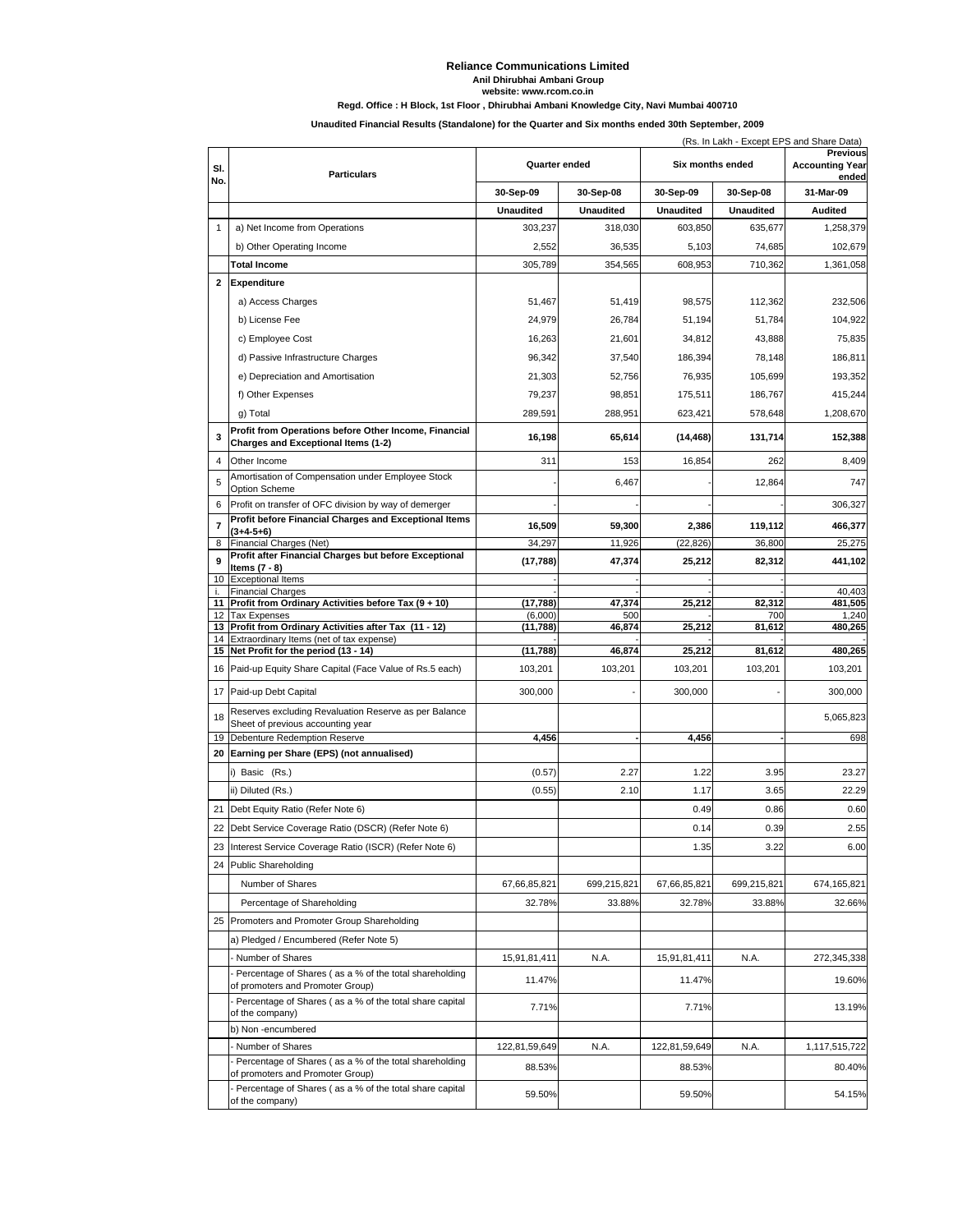#### **Reliance Communications Limited Anil Dhirubhai Ambani Group**

**website: www.rcom.co.in**

**Regd. Office : H Block, 1st Floor , Dhirubhai Ambani Knowledge City, Navi Mumbai 400710**

### **Unaudited Financial Results (Standalone) for the Quarter and Six months ended 30th September, 2009**

|                         | (Rs. In Lakh - Except EPS and Share Data)                                                                                                             |                     |                  |                  |                  |                                                    |  |  |
|-------------------------|-------------------------------------------------------------------------------------------------------------------------------------------------------|---------------------|------------------|------------------|------------------|----------------------------------------------------|--|--|
| SI.                     | <b>Particulars</b>                                                                                                                                    | Quarter ended       |                  | Six months ended |                  | <b>Previous</b><br><b>Accounting Year</b><br>ended |  |  |
| No.                     |                                                                                                                                                       | 30-Sep-09           | 30-Sep-08        | 30-Sep-09        | 30-Sep-08        | 31-Mar-09                                          |  |  |
|                         |                                                                                                                                                       | <b>Unaudited</b>    | <b>Unaudited</b> | <b>Unaudited</b> | <b>Unaudited</b> | <b>Audited</b>                                     |  |  |
| $\mathbf{1}$            | a) Net Income from Operations                                                                                                                         | 303,237             | 318,030          | 603,850          | 635,677          | 1,258,379                                          |  |  |
|                         | b) Other Operating Income                                                                                                                             | 2,552               | 36,535           | 5,103            | 74,685           | 102,679                                            |  |  |
|                         | <b>Total Income</b>                                                                                                                                   | 305,789             | 354,565          | 608,953          | 710,362          | 1,361,058                                          |  |  |
| 2                       | Expenditure                                                                                                                                           |                     |                  |                  |                  |                                                    |  |  |
|                         | a) Access Charges                                                                                                                                     | 51,467              | 51,419           | 98,575           | 112,362          | 232,506                                            |  |  |
|                         | b) License Fee                                                                                                                                        | 24,979              | 26,784           | 51,194           | 51,784           | 104,922                                            |  |  |
|                         | c) Employee Cost                                                                                                                                      | 16,263              | 21,601           | 34,812           | 43,888           | 75,835                                             |  |  |
|                         | d) Passive Infrastructure Charges                                                                                                                     | 96,342              | 37,540           | 186,394          | 78,148           | 186,811                                            |  |  |
|                         | e) Depreciation and Amortisation                                                                                                                      | 21,303              | 52,756           | 76,935           | 105,699          | 193,352                                            |  |  |
|                         | f) Other Expenses                                                                                                                                     | 79,237              | 98,851           | 175,511          | 186,767          | 415,244                                            |  |  |
|                         | g) Total                                                                                                                                              | 289,591             | 288,951          | 623,421          | 578,648          | 1,208,670                                          |  |  |
| 3                       | Profit from Operations before Other Income, Financial<br><b>Charges and Exceptional Items (1-2)</b>                                                   | 16,198              | 65,614           | (14, 468)        | 131,714          | 152,388                                            |  |  |
| 4                       | Other Income                                                                                                                                          | 311                 | 153              | 16,854           | 262              | 8,409                                              |  |  |
| 5                       | Amortisation of Compensation under Employee Stock<br><b>Option Scheme</b>                                                                             |                     | 6,467            |                  | 12.864           | 747                                                |  |  |
| 6                       | Profit on transfer of OFC division by way of demerger                                                                                                 |                     |                  |                  |                  | 306.327                                            |  |  |
| $\overline{\textbf{7}}$ | Profit before Financial Charges and Exceptional Items<br>$(3+4-5+6)$                                                                                  | 16,509              | 59,300           | 2,386            | 119,112          | 466,377                                            |  |  |
| 8                       | Financial Charges (Net)                                                                                                                               | 34,297              | 11,926           | (22, 826)        | 36,800           | 25,275                                             |  |  |
| 9                       | Profit after Financial Charges but before Exceptional<br>Items $(7 - 8)$                                                                              | (17, 788)           | 47,374           | 25,212           | 82,312           | 441,102                                            |  |  |
| 10                      | <b>Exceptional Items</b>                                                                                                                              |                     |                  |                  |                  |                                                    |  |  |
| i.<br>11                | <b>Financial Charges</b><br>Profit from Ordinary Activities before Tax (9 + 10)                                                                       | (17,788)            | 47,374           | 25,212           | 82,312           | 40,403<br>481,505                                  |  |  |
| 13                      | 12 Tax Expenses<br>Profit from Ordinary Activities after Tax (11 - 12)                                                                                | (6,000)<br>(11,788) | 500<br>46,874    | 25,212           | 700<br>81,612    | 1,240<br>480,265                                   |  |  |
|                         | 14 Extraordinary Items (net of tax expense)                                                                                                           |                     |                  |                  |                  |                                                    |  |  |
|                         | 15 Net Profit for the period (13 - 14)                                                                                                                | (11,788)            | 46,874           | 25,212           | 81,612           | 480,265                                            |  |  |
|                         | 16 Paid-up Equity Share Capital (Face Value of Rs.5 each)                                                                                             | 103,201             | 103,201          | 103,201          | 103,201          | 103,201                                            |  |  |
|                         | 17 Paid-up Debt Capital                                                                                                                               | 300,000             |                  | 300,000          |                  | 300,000                                            |  |  |
| 18                      | Reserves excluding Revaluation Reserve as per Balance<br>Sheet of previous accounting year                                                            |                     |                  |                  |                  | 5,065,823                                          |  |  |
| 19                      | Debenture Redemption Reserve                                                                                                                          | 4,456               |                  | 4,456            |                  | 698                                                |  |  |
| 20                      | Earning per Share (EPS) (not annualised)                                                                                                              |                     |                  |                  |                  |                                                    |  |  |
|                         | i) Basic (Rs.)                                                                                                                                        |                     |                  |                  |                  |                                                    |  |  |
|                         |                                                                                                                                                       | (0.57)              | 2.27             | 1.22             | 3.95             | 23.27                                              |  |  |
|                         | ii) Diluted (Rs.)                                                                                                                                     | (0.55)              | 2.10             | 1.17             | 3.65             | 22.29                                              |  |  |
| 21                      | Debt Equity Ratio (Refer Note 6)                                                                                                                      |                     |                  | 0.49             | 0.86             | 0.60                                               |  |  |
|                         | 22 Debt Service Coverage Ratio (DSCR) (Refer Note 6)                                                                                                  |                     |                  | 0.14             | 0.39             | 2.55                                               |  |  |
| 23<br>24                | Interest Service Coverage Ratio (ISCR) (Refer Note 6)                                                                                                 |                     |                  | 1.35             | 3.22             | 6.00                                               |  |  |
|                         | <b>Public Shareholding</b><br>Number of Shares                                                                                                        | 67,66,85,821        | 699,215,821      | 67,66,85,821     | 699,215,821      | 674,165,821                                        |  |  |
|                         | Percentage of Shareholding                                                                                                                            | 32.78%              | 33.88%           | 32.78%           | 33.88%           | 32.66%                                             |  |  |
| 25                      | Promoters and Promoter Group Shareholding                                                                                                             |                     |                  |                  |                  |                                                    |  |  |
|                         | a) Pledged / Encumbered (Refer Note 5)                                                                                                                |                     |                  |                  |                  |                                                    |  |  |
|                         | Number of Shares                                                                                                                                      | 15,91,81,411        | N.A.             | 15,91,81,411     | N.A.             | 272,345,338                                        |  |  |
|                         | Percentage of Shares (as a % of the total shareholding<br>of promoters and Promoter Group)                                                            | 11.47%              |                  | 11.47%           |                  | 19.60%                                             |  |  |
|                         | Percentage of Shares (as a % of the total share capital<br>of the company)                                                                            | 7.71%               |                  | 7.71%            |                  | 13.19%                                             |  |  |
|                         | b) Non -encumbered                                                                                                                                    |                     |                  |                  |                  |                                                    |  |  |
|                         | Number of Shares                                                                                                                                      | 122,81,59,649       | N.A.             | 122,81,59,649    | N.A.             | 1,117,515,722                                      |  |  |
|                         | Percentage of Shares (as a % of the total shareholding<br>of promoters and Promoter Group)<br>Percentage of Shares (as a % of the total share capital | 88.53%              |                  | 88.53%           |                  | 80.40%                                             |  |  |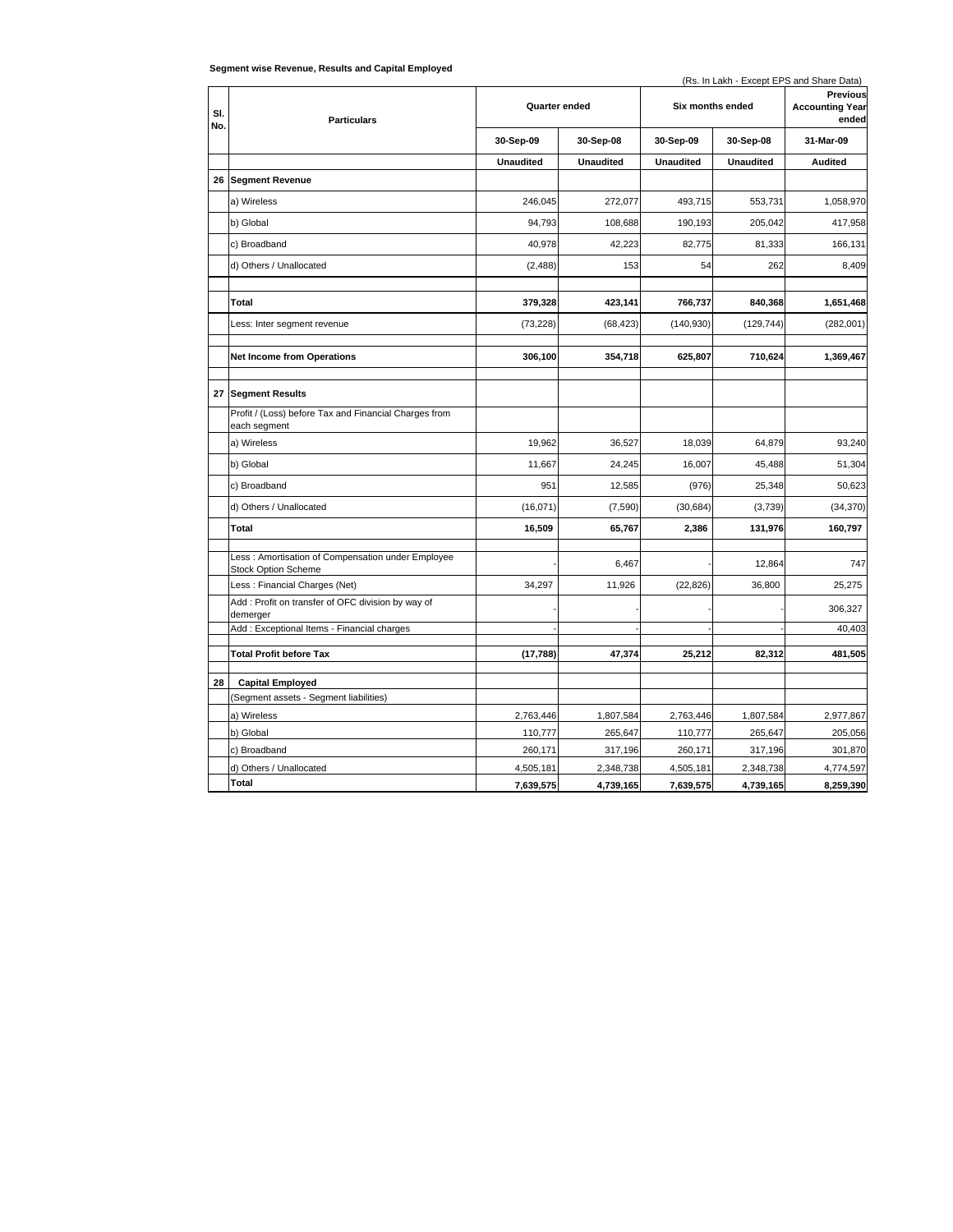|            |                                                                                 |                  |                  | (Rs. In Lakh - Except EPS and Share Data) |                  |                                             |  |
|------------|---------------------------------------------------------------------------------|------------------|------------------|-------------------------------------------|------------------|---------------------------------------------|--|
| SI.<br>No. | <b>Particulars</b>                                                              | Quarter ended    |                  | Six months ended                          |                  | Previous<br><b>Accounting Year</b><br>ended |  |
|            |                                                                                 | 30-Sep-09        | 30-Sep-08        | 30-Sep-09                                 | 30-Sep-08        | 31-Mar-09                                   |  |
|            |                                                                                 | <b>Unaudited</b> | <b>Unaudited</b> | <b>Unaudited</b>                          | <b>Unaudited</b> | <b>Audited</b>                              |  |
| 26         | <b>Segment Revenue</b>                                                          |                  |                  |                                           |                  |                                             |  |
|            | a) Wireless                                                                     | 246,045          | 272,077          | 493,715                                   | 553,731          | 1,058,970                                   |  |
|            | b) Global                                                                       | 94,793           | 108,688          | 190,193                                   | 205,042          | 417,958                                     |  |
|            | c) Broadband                                                                    | 40,978           | 42,223           | 82,775                                    | 81,333           | 166,131                                     |  |
|            | d) Others / Unallocated                                                         | (2, 488)         | 153              | 54                                        | 262              | 8,409                                       |  |
|            |                                                                                 |                  |                  |                                           |                  |                                             |  |
|            | <b>Total</b>                                                                    | 379,328          | 423,141          | 766,737                                   | 840,368          | 1,651,468                                   |  |
|            | Less: Inter segment revenue                                                     | (73, 228)        | (68, 423)        | (140, 930)                                | (129, 744)       | (282,001)                                   |  |
|            |                                                                                 |                  |                  |                                           |                  |                                             |  |
|            | <b>Net Income from Operations</b>                                               | 306,100          | 354,718          | 625,807                                   | 710,624          | 1,369,467                                   |  |
|            | 27 Segment Results                                                              |                  |                  |                                           |                  |                                             |  |
|            | Profit / (Loss) before Tax and Financial Charges from<br>each segment           |                  |                  |                                           |                  |                                             |  |
|            | a) Wireless                                                                     | 19,962           | 36,527           | 18,039                                    | 64,879           | 93,240                                      |  |
|            | b) Global                                                                       | 11.667           | 24,245           | 16,007                                    | 45,488           | 51,304                                      |  |
|            | c) Broadband                                                                    | 951              | 12,585           | (976)                                     | 25,348           | 50,623                                      |  |
|            | d) Others / Unallocated                                                         | (16, 071)        | (7,590)          | (30, 684)                                 | (3,739)          | (34, 370)                                   |  |
|            | <b>Total</b>                                                                    | 16,509           | 65,767           | 2,386                                     | 131,976          | 160,797                                     |  |
|            | Less: Amortisation of Compensation under Employee<br><b>Stock Option Scheme</b> |                  | 6,467            |                                           | 12,864           | 747                                         |  |
|            | Less: Financial Charges (Net)                                                   | 34,297           | 11,926           | (22, 826)                                 | 36,800           | 25,275                                      |  |
|            | Add: Profit on transfer of OFC division by way of<br>demerger                   |                  |                  |                                           |                  | 306,327                                     |  |
|            | Add: Exceptional Items - Financial charges                                      |                  |                  |                                           |                  | 40,403                                      |  |
|            | <b>Total Profit before Tax</b>                                                  | (17, 788)        | 47,374           | 25,212                                    | 82,312           | 481,505                                     |  |
|            |                                                                                 |                  |                  |                                           |                  |                                             |  |
| 28         | <b>Capital Employed</b>                                                         |                  |                  |                                           |                  |                                             |  |
|            | (Segment assets - Segment liabilities)                                          |                  |                  |                                           |                  |                                             |  |
|            | a) Wireless                                                                     | 2,763,446        | 1,807,584        | 2,763,446                                 | 1,807,584        | 2,977,867                                   |  |
|            | b) Global                                                                       | 110,777          | 265,647          | 110,777                                   | 265,647          | 205,056                                     |  |
|            | c) Broadband                                                                    | 260,171          | 317,196          | 260,171                                   | 317,196          | 301,870                                     |  |
|            | d) Others / Unallocated<br>Total                                                | 4,505,181        | 2,348,738        | 4,505,181                                 | 2,348,738        | 4,774,597                                   |  |
|            |                                                                                 | 7,639,575        | 4,739,165        | 7,639,575                                 | 4,739,165        | 8,259,390                                   |  |

#### **Segment wise Revenue, Results and Capital Employed**